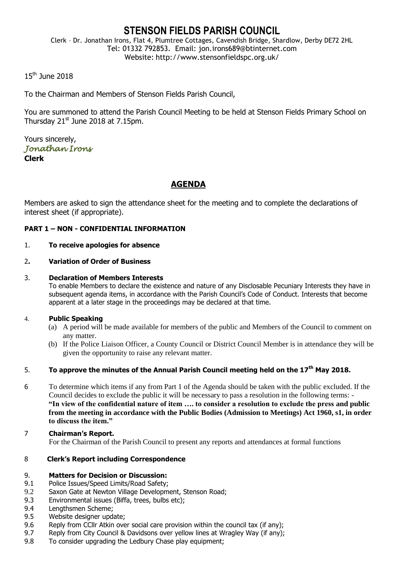# **STENSON FIELDS PARISH COUNCIL**

Clerk – Dr. Jonathan Irons, Flat 4, Plumtree Cottages, Cavendish Bridge, Shardlow, Derby DE72 2HL Tel: 01332 792853. Email: jon.irons689@btinternet.com Website: http://www.stensonfieldspc.org.uk/

## 15th June 2018

To the Chairman and Members of Stenson Fields Parish Council,

You are summoned to attend the Parish Council Meeting to be held at Stenson Fields Primary School on Thursday  $21<sup>st</sup>$  June 2018 at 7.15pm.

Yours sincerely, *Jonathan Irons*  **Clerk**

# **AGENDA**

Members are asked to sign the attendance sheet for the meeting and to complete the declarations of interest sheet (if appropriate).

### **PART 1 – NON - CONFIDENTIAL INFORMATION**

### 1. **To receive apologies for absence**

### 2**. Variation of Order of Business**

#### 3. **Declaration of Members Interests**

To enable Members to declare the existence and nature of any Disclosable Pecuniary Interests they have in subsequent agenda items, in accordance with the Parish Council's Code of Conduct. Interests that become apparent at a later stage in the proceedings may be declared at that time.

### 4. **Public Speaking**

- (a) A period will be made available for members of the public and Members of the Council to comment on any matter.
- (b) If the Police Liaison Officer, a County Council or District Council Member is in attendance they will be given the opportunity to raise any relevant matter.

### 5. **To approve the minutes of the Annual Parish Council meeting held on the 17th May 2018.**

- 6 To determine which items if any from Part 1 of the Agenda should be taken with the public excluded. If the Council decides to exclude the public it will be necessary to pass a resolution in the following terms: - **"In view of the confidential nature of item …. to consider a resolution to exclude the press and public from the meeting in accordance with the Public Bodies (Admission to Meetings) Act 1960, s1, in order to discuss the item."**
- 7 **Chairman's Report.** For the Chairman of the Parish Council to present any reports and attendances at formal functions

### 8 **Clerk's Report including Correspondence**

### 9. **Matters for Decision or Discussion:**

- 9.1 Police Issues/Speed Limits/Road Safety;
- 9.2 Saxon Gate at Newton Village Development, Stenson Road;
- 9.3 Environmental issues (Biffa, trees, bulbs etc);
- 9.4 Lengthsmen Scheme;
- 9.5 Website designer update;
- 9.6 Reply from CCllr Atkin over social care provision within the council tax (if any);
- 9.7 Reply from City Council & Davidsons over yellow lines at Wragley Way (if any);
- 9.8 To consider upgrading the Ledbury Chase play equipment;